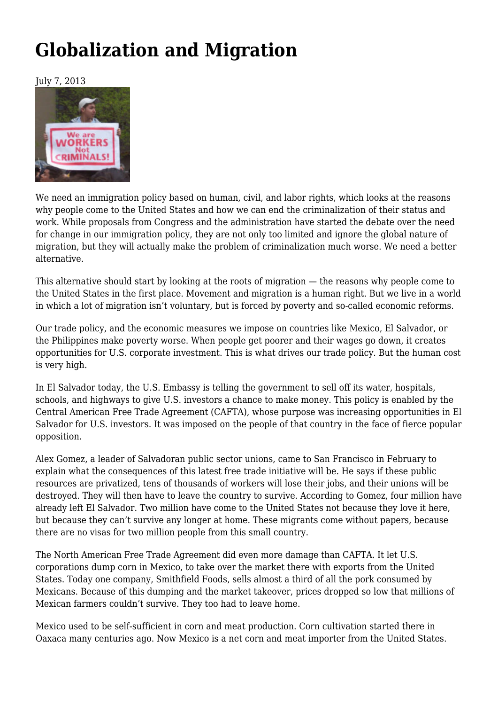## **[Globalization and Migration](https://newpol.org/issue_post/globalization-and-migration/)**

July 7, 2013



We need an immigration policy based on human, civil, and labor rights, which looks at the reasons why people come to the United States and how we can end the criminalization of their status and work. While proposals from Congress and the administration have started the debate over the need for change in our immigration policy, they are not only too limited and ignore the global nature of migration, but they will actually make the problem of criminalization much worse. We need a better alternative.

This alternative should start by looking at the roots of migration — the reasons why people come to the United States in the first place. Movement and migration is a human right. But we live in a world in which a lot of migration isn't voluntary, but is forced by poverty and so-called economic reforms.

Our trade policy, and the economic measures we impose on countries like Mexico, El Salvador, or the Philippines make poverty worse. When people get poorer and their wages go down, it creates opportunities for U.S. corporate investment. This is what drives our trade policy. But the human cost is very high.

In El Salvador today, the U.S. Embassy is telling the government to sell off its water, hospitals, schools, and highways to give U.S. investors a chance to make money. This policy is enabled by the Central American Free Trade Agreement (CAFTA), whose purpose was increasing opportunities in El Salvador for U.S. investors. It was imposed on the people of that country in the face of fierce popular opposition.

Alex Gomez, a leader of Salvadoran public sector unions, came to San Francisco in February to explain what the consequences of this latest free trade initiative will be. He says if these public resources are privatized, tens of thousands of workers will lose their jobs, and their unions will be destroyed. They will then have to leave the country to survive. According to Gomez, four million have already left El Salvador. Two million have come to the United States not because they love it here, but because they can't survive any longer at home. These migrants come without papers, because there are no visas for two million people from this small country.

The North American Free Trade Agreement did even more damage than CAFTA. It let U.S. corporations dump corn in Mexico, to take over the market there with exports from the United States. Today one company, Smithfield Foods, sells almost a third of all the pork consumed by Mexicans. Because of this dumping and the market takeover, prices dropped so low that millions of Mexican farmers couldn't survive. They too had to leave home.

Mexico used to be self-sufficient in corn and meat production. Corn cultivation started there in Oaxaca many centuries ago. Now Mexico is a net corn and meat importer from the United States.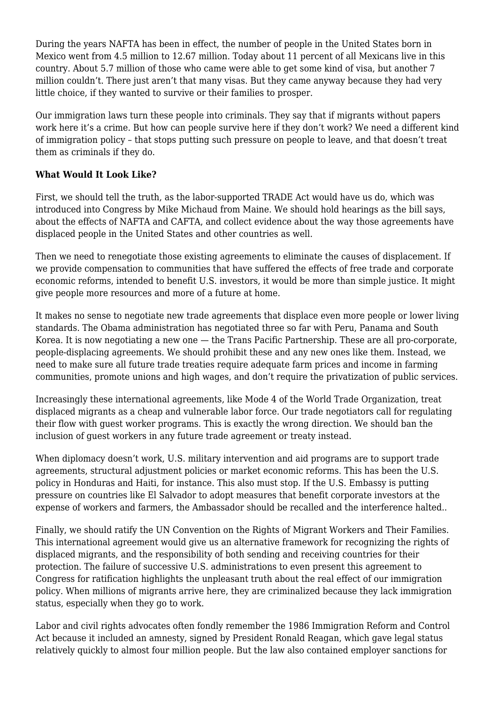During the years NAFTA has been in effect, the number of people in the United States born in Mexico went from 4.5 million to 12.67 million. Today about 11 percent of all Mexicans live in this country. About 5.7 million of those who came were able to get some kind of visa, but another 7 million couldn't. There just aren't that many visas. But they came anyway because they had very little choice, if they wanted to survive or their families to prosper.

Our immigration laws turn these people into criminals. They say that if migrants without papers work here it's a crime. But how can people survive here if they don't work? We need a different kind of immigration policy – that stops putting such pressure on people to leave, and that doesn't treat them as criminals if they do.

## **What Would It Look Like?**

First, we should tell the truth, as the labor-supported TRADE Act would have us do, which was introduced into Congress by Mike Michaud from Maine. We should hold hearings as the bill says, about the effects of NAFTA and CAFTA, and collect evidence about the way those agreements have displaced people in the United States and other countries as well.

Then we need to renegotiate those existing agreements to eliminate the causes of displacement. If we provide compensation to communities that have suffered the effects of free trade and corporate economic reforms, intended to benefit U.S. investors, it would be more than simple justice. It might give people more resources and more of a future at home.

It makes no sense to negotiate new trade agreements that displace even more people or lower living standards. The Obama administration has negotiated three so far with Peru, Panama and South Korea. It is now negotiating a new one — the Trans Pacific Partnership. These are all pro-corporate, people-displacing agreements. We should prohibit these and any new ones like them. Instead, we need to make sure all future trade treaties require adequate farm prices and income in farming communities, promote unions and high wages, and don't require the privatization of public services.

Increasingly these international agreements, like Mode 4 of the World Trade Organization, treat displaced migrants as a cheap and vulnerable labor force. Our trade negotiators call for regulating their flow with guest worker programs. This is exactly the wrong direction. We should ban the inclusion of guest workers in any future trade agreement or treaty instead.

When diplomacy doesn't work, U.S. military intervention and aid programs are to support trade agreements, structural adjustment policies or market economic reforms. This has been the U.S. policy in Honduras and Haiti, for instance. This also must stop. If the U.S. Embassy is putting pressure on countries like El Salvador to adopt measures that benefit corporate investors at the expense of workers and farmers, the Ambassador should be recalled and the interference halted..

Finally, we should ratify the UN Convention on the Rights of Migrant Workers and Their Families. This international agreement would give us an alternative framework for recognizing the rights of displaced migrants, and the responsibility of both sending and receiving countries for their protection. The failure of successive U.S. administrations to even present this agreement to Congress for ratification highlights the unpleasant truth about the real effect of our immigration policy. When millions of migrants arrive here, they are criminalized because they lack immigration status, especially when they go to work.

Labor and civil rights advocates often fondly remember the 1986 Immigration Reform and Control Act because it included an amnesty, signed by President Ronald Reagan, which gave legal status relatively quickly to almost four million people. But the law also contained employer sanctions for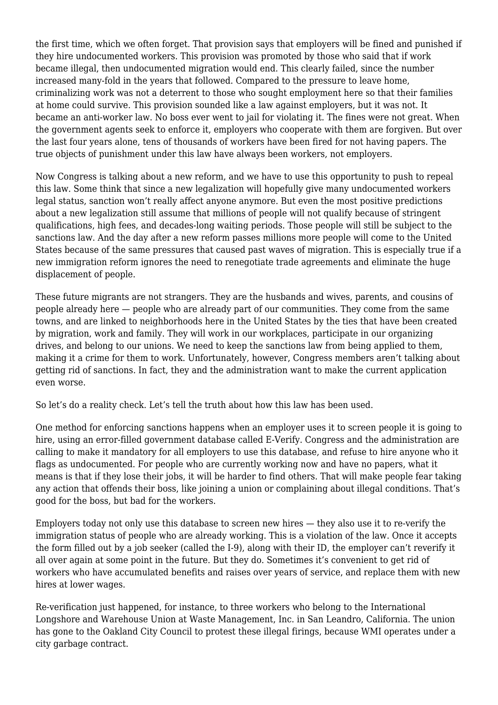the first time, which we often forget. That provision says that employers will be fined and punished if they hire undocumented workers. This provision was promoted by those who said that if work became illegal, then undocumented migration would end. This clearly failed, since the number increased many-fold in the years that followed. Compared to the pressure to leave home, criminalizing work was not a deterrent to those who sought employment here so that their families at home could survive. This provision sounded like a law against employers, but it was not. It became an anti-worker law. No boss ever went to jail for violating it. The fines were not great. When the government agents seek to enforce it, employers who cooperate with them are forgiven. But over the last four years alone, tens of thousands of workers have been fired for not having papers. The true objects of punishment under this law have always been workers, not employers.

Now Congress is talking about a new reform, and we have to use this opportunity to push to repeal this law. Some think that since a new legalization will hopefully give many undocumented workers legal status, sanction won't really affect anyone anymore. But even the most positive predictions about a new legalization still assume that millions of people will not qualify because of stringent qualifications, high fees, and decades-long waiting periods. Those people will still be subject to the sanctions law. And the day after a new reform passes millions more people will come to the United States because of the same pressures that caused past waves of migration. This is especially true if a new immigration reform ignores the need to renegotiate trade agreements and eliminate the huge displacement of people.

These future migrants are not strangers. They are the husbands and wives, parents, and cousins of people already here — people who are already part of our communities. They come from the same towns, and are linked to neighborhoods here in the United States by the ties that have been created by migration, work and family. They will work in our workplaces, participate in our organizing drives, and belong to our unions. We need to keep the sanctions law from being applied to them, making it a crime for them to work. Unfortunately, however, Congress members aren't talking about getting rid of sanctions. In fact, they and the administration want to make the current application even worse.

So let's do a reality check. Let's tell the truth about how this law has been used.

One method for enforcing sanctions happens when an employer uses it to screen people it is going to hire, using an error-filled government database called E-Verify. Congress and the administration are calling to make it mandatory for all employers to use this database, and refuse to hire anyone who it flags as undocumented. For people who are currently working now and have no papers, what it means is that if they lose their jobs, it will be harder to find others. That will make people fear taking any action that offends their boss, like joining a union or complaining about illegal conditions. That's good for the boss, but bad for the workers.

Employers today not only use this database to screen new hires — they also use it to re-verify the immigration status of people who are already working. This is a violation of the law. Once it accepts the form filled out by a job seeker (called the I-9), along with their ID, the employer can't reverify it all over again at some point in the future. But they do. Sometimes it's convenient to get rid of workers who have accumulated benefits and raises over years of service, and replace them with new hires at lower wages.

Re-verification just happened, for instance, to three workers who belong to the International Longshore and Warehouse Union at Waste Management, Inc. in San Leandro, California. The union has gone to the Oakland City Council to protest these illegal firings, because WMI operates under a city garbage contract.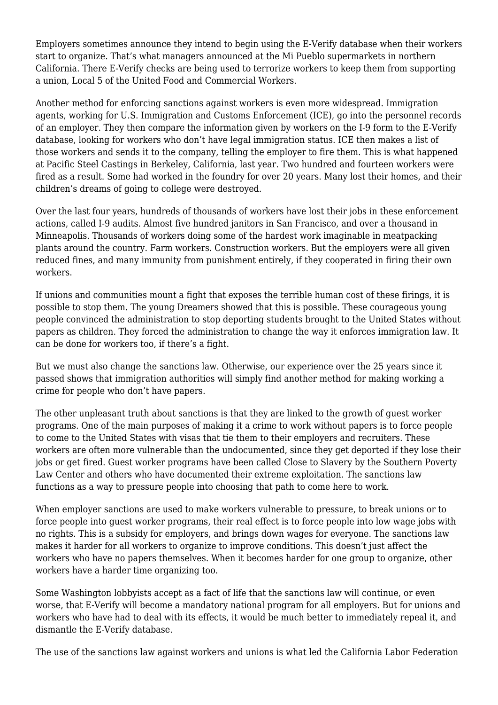Employers sometimes announce they intend to begin using the E-Verify database when their workers start to organize. That's what managers announced at the Mi Pueblo supermarkets in northern California. There E-Verify checks are being used to terrorize workers to keep them from supporting a union, Local 5 of the United Food and Commercial Workers.

Another method for enforcing sanctions against workers is even more widespread. Immigration agents, working for U.S. Immigration and Customs Enforcement (ICE), go into the personnel records of an employer. They then compare the information given by workers on the I-9 form to the E-Verify database, looking for workers who don't have legal immigration status. ICE then makes a list of those workers and sends it to the company, telling the employer to fire them. This is what happened at Pacific Steel Castings in Berkeley, California, last year. Two hundred and fourteen workers were fired as a result. Some had worked in the foundry for over 20 years. Many lost their homes, and their children's dreams of going to college were destroyed.

Over the last four years, hundreds of thousands of workers have lost their jobs in these enforcement actions, called I-9 audits. Almost five hundred janitors in San Francisco, and over a thousand in Minneapolis. Thousands of workers doing some of the hardest work imaginable in meatpacking plants around the country. Farm workers. Construction workers. But the employers were all given reduced fines, and many immunity from punishment entirely, if they cooperated in firing their own workers.

If unions and communities mount a fight that exposes the terrible human cost of these firings, it is possible to stop them. The young Dreamers showed that this is possible. These courageous young people convinced the administration to stop deporting students brought to the United States without papers as children. They forced the administration to change the way it enforces immigration law. It can be done for workers too, if there's a fight.

But we must also change the sanctions law. Otherwise, our experience over the 25 years since it passed shows that immigration authorities will simply find another method for making working a crime for people who don't have papers.

The other unpleasant truth about sanctions is that they are linked to the growth of guest worker programs. One of the main purposes of making it a crime to work without papers is to force people to come to the United States with visas that tie them to their employers and recruiters. These workers are often more vulnerable than the undocumented, since they get deported if they lose their jobs or get fired. Guest worker programs have been called Close to Slavery by the Southern Poverty Law Center and others who have documented their extreme exploitation. The sanctions law functions as a way to pressure people into choosing that path to come here to work.

When employer sanctions are used to make workers vulnerable to pressure, to break unions or to force people into guest worker programs, their real effect is to force people into low wage jobs with no rights. This is a subsidy for employers, and brings down wages for everyone. The sanctions law makes it harder for all workers to organize to improve conditions. This doesn't just affect the workers who have no papers themselves. When it becomes harder for one group to organize, other workers have a harder time organizing too.

Some Washington lobbyists accept as a fact of life that the sanctions law will continue, or even worse, that E-Verify will become a mandatory national program for all employers. But for unions and workers who have had to deal with its effects, it would be much better to immediately repeal it, and dismantle the E-Verify database.

The use of the sanctions law against workers and unions is what led the California Labor Federation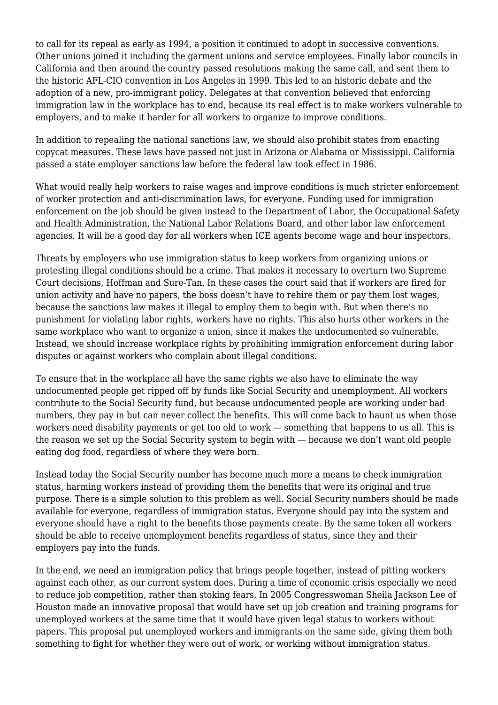to call for its repeal as early as 1994, a position it continued to adopt in successive conventions. Other unions joined it including the garment unions and service employees. Finally labor councils in California and then around the country passed resolutions making the same call, and sent them to the historic AFL-CIO convention in Los Angeles in 1999. This led to an historic debate and the adoption of a new, pro-immigrant policy. Delegates at that convention believed that enforcing immigration law in the workplace has to end, because its real effect is to make workers vulnerable to employers, and to make it harder for all workers to organize to improve conditions.

In addition to repealing the national sanctions law, we should also prohibit states from enacting copycat measures. These laws have passed not just in Arizona or Alabama or Mississippi. California passed a state employer sanctions law before the federal law took effect in 1986.

What would really help workers to raise wages and improve conditions is much stricter enforcement of worker protection and anti-discrimination laws, for everyone. Funding used for immigration enforcement on the job should be given instead to the Department of Labor, the Occupational Safety and Health Administration, the National Labor Relations Board, and other labor law enforcement agencies. It will be a good day for all workers when ICE agents become wage and hour inspectors.

Threats by employers who use immigration status to keep workers from organizing unions or protesting illegal conditions should be a crime. That makes it necessary to overturn two Supreme Court decisions, Hoffman and Sure-Tan. In these cases the court said that if workers are fired for union activity and have no papers, the boss doesn't have to rehire them or pay them lost wages, because the sanctions law makes it illegal to employ them to begin with. But when there's no punishment for violating labor rights, workers have no rights. This also hurts other workers in the same workplace who want to organize a union, since it makes the undocumented so vulnerable. Instead, we should increase workplace rights by prohibiting immigration enforcement during labor disputes or against workers who complain about illegal conditions.

To ensure that in the workplace all have the same rights we also have to eliminate the way undocumented people get ripped off by funds like Social Security and unemployment. All workers contribute to the Social Security fund, but because undocumented people are working under bad numbers, they pay in but can never collect the benefits. This will come back to haunt us when those workers need disability payments or get too old to work — something that happens to us all. This is the reason we set up the Social Security system to begin with — because we don't want old people eating dog food, regardless of where they were born.

Instead today the Social Security number has become much more a means to check immigration status, harming workers instead of providing them the benefits that were its original and true purpose. There is a simple solution to this problem as well. Social Security numbers should be made available for everyone, regardless of immigration status. Everyone should pay into the system and everyone should have a right to the benefits those payments create. By the same token all workers should be able to receive unemployment benefits regardless of status, since they and their employers pay into the funds.

In the end, we need an immigration policy that brings people together, instead of pitting workers against each other, as our current system does. During a time of economic crisis especially we need to reduce job competition, rather than stoking fears. In 2005 Congresswoman Sheila Jackson Lee of Houston made an innovative proposal that would have set up job creation and training programs for unemployed workers at the same time that it would have given legal status to workers without papers. This proposal put unemployed workers and immigrants on the same side, giving them both something to fight for whether they were out of work, or working without immigration status.